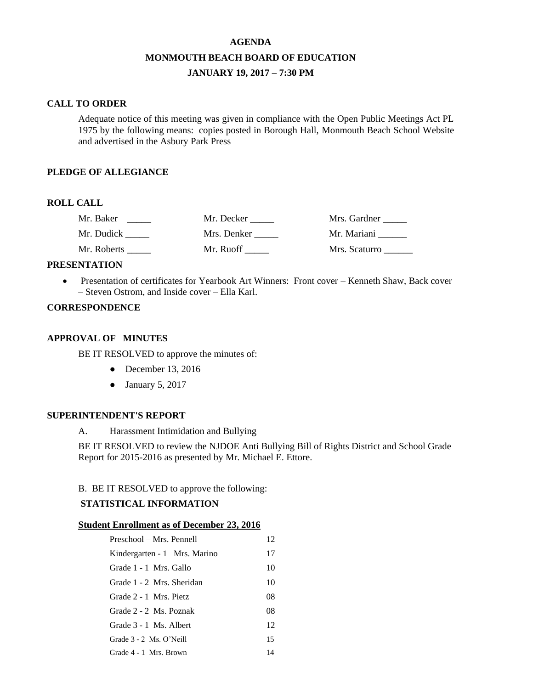# **AGENDA MONMOUTH BEACH BOARD OF EDUCATION JANUARY 19, 2017 – 7:30 PM**

#### **CALL TO ORDER**

Adequate notice of this meeting was given in compliance with the Open Public Meetings Act PL 1975 by the following means: copies posted in Borough Hall, Monmouth Beach School Website and advertised in the Asbury Park Press

### **PLEDGE OF ALLEGIANCE**

## **ROLL CALL**

| Mr. Baker   | Mr. Decker  | Mrs. Gardner  |
|-------------|-------------|---------------|
| Mr. Dudick  | Mrs. Denker | Mr. Mariani   |
| Mr. Roberts | Mr. Ruoff   | Mrs. Scaturro |

#### **PRESENTATION**

 Presentation of certificates for Yearbook Art Winners: Front cover – Kenneth Shaw, Back cover – Steven Ostrom, and Inside cover – Ella Karl.

## **CORRESPONDENCE**

#### **APPROVAL OF MINUTES**

BE IT RESOLVED to approve the minutes of:

- December 13, 2016
- January 5, 2017

#### **SUPERINTENDENT'S REPORT**

A. Harassment Intimidation and Bullying

BE IT RESOLVED to review the NJDOE Anti Bullying Bill of Rights District and School Grade Report for 2015-2016 as presented by Mr. Michael E. Ettore.

## B. BE IT RESOLVED to approve the following:

#### **STATISTICAL INFORMATION**

#### **Student Enrollment as of December 23, 2016**

| Preschool – Mrs. Pennell     | 12 |
|------------------------------|----|
| Kindergarten - 1 Mrs. Marino | 17 |
| Grade 1 - 1 Mrs. Gallo       | 10 |
| Grade 1 - 2 Mrs. Sheridan    | 10 |
| Grade 2 - 1 Mrs. Pietz       | 08 |
| Grade 2 - 2 Ms. Poznak       | 08 |
| Grade 3 - 1 Ms. Albert       | 12 |
| Grade $3 - 2$ Ms. O'Neill    | 15 |
| Grade 4 - 1 Mrs. Brown       | 14 |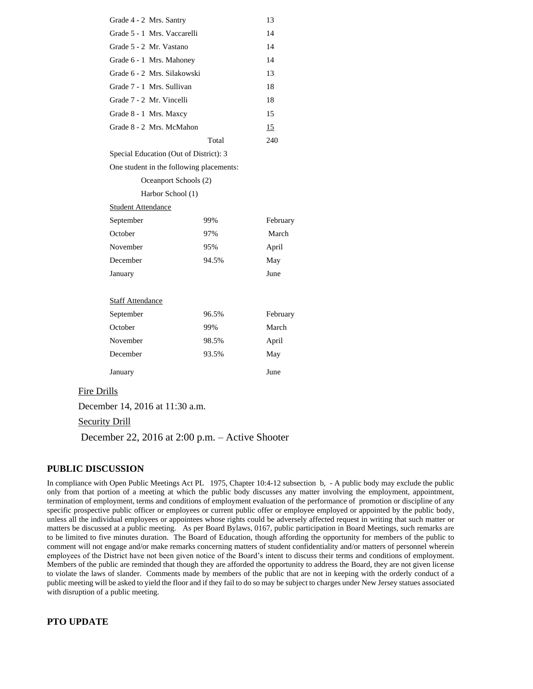| Grade 4 - 2 Mrs. Santry                  |       | 13       |
|------------------------------------------|-------|----------|
| Grade 5 - 1 Mrs. Vaccarelli              |       | 14       |
| Grade 5 - 2 Mr. Vastano                  |       | 14       |
| Grade 6 - 1 Mrs. Mahoney                 |       | 14       |
| Grade 6 - 2 Mrs. Silakowski              |       | 13       |
| Grade 7 - 1 Mrs. Sullivan                |       | 18       |
| Grade 7 - 2 Mr. Vincelli                 |       | 18       |
| Grade 8 - 1 Mrs. Maxcy                   |       | 15       |
| Grade 8 - 2 Mrs. McMahon                 |       | 15       |
|                                          | Total | 240      |
| Special Education (Out of District): 3   |       |          |
| One student in the following placements: |       |          |
| Oceanport Schools (2)                    |       |          |
| Harbor School (1)                        |       |          |
| <b>Student Attendance</b>                |       |          |
| September                                | 99%   | February |
| October                                  | 97%   | March    |
| November                                 | 95%   | April    |
| December                                 | 94.5% | May      |
| January                                  |       | June     |
|                                          |       |          |
| <b>Staff Attendance</b>                  |       |          |
| September                                | 96.5% | February |
| October                                  | 99%   | March    |
| November                                 | 98.5% | April    |
| December                                 | 93.5% | May      |
| January                                  |       | June     |

#### Fire Drills

December 14, 2016 at 11:30 a.m.

## Security Drill

December 22, 2016 at 2:00 p.m. – Active Shooter

### **PUBLIC DISCUSSION**

In compliance with Open Public Meetings Act PL 1975, Chapter 10:4-12 subsection b, - A public body may exclude the public only from that portion of a meeting at which the public body discusses any matter involving the employment, appointment, termination of employment, terms and conditions of employment evaluation of the performance of promotion or discipline of any specific prospective public officer or employees or current public offer or employee employed or appointed by the public body, unless all the individual employees or appointees whose rights could be adversely affected request in writing that such matter or matters be discussed at a public meeting. As per Board Bylaws, 0167, public participation in Board Meetings, such remarks are to be limited to five minutes duration. The Board of Education, though affording the opportunity for members of the public to comment will not engage and/or make remarks concerning matters of student confidentiality and/or matters of personnel wherein employees of the District have not been given notice of the Board's intent to discuss their terms and conditions of employment. Members of the public are reminded that though they are afforded the opportunity to address the Board, they are not given license to violate the laws of slander. Comments made by members of the public that are not in keeping with the orderly conduct of a public meeting will be asked to yield the floor and if they fail to do so may be subject to charges under New Jersey statues associated with disruption of a public meeting.

#### **PTO UPDATE**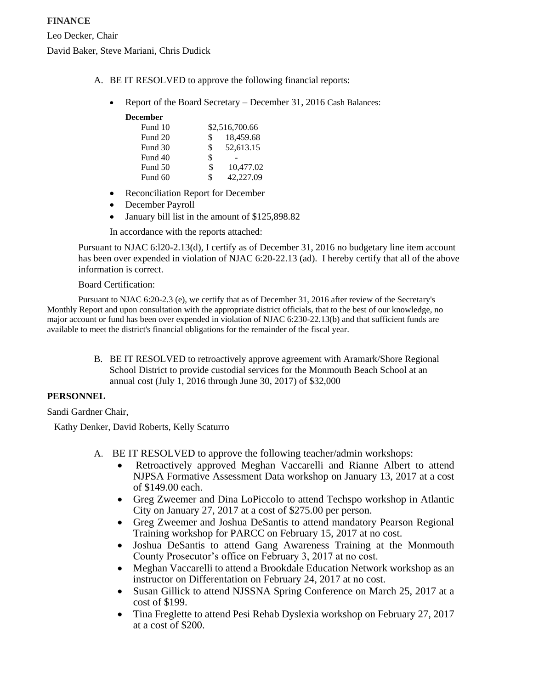- A. BE IT RESOLVED to approve the following financial reports:
	- Report of the Board Secretary December 31, 2016 Cash Balances:

| Fund 10 |     | \$2,516,700.66 |
|---------|-----|----------------|
| Fund 20 | \$  | 18,459.68      |
| Fund 30 | \$. | 52,613.15      |
| Fund 40 | \$  |                |
| Fund 50 | \$  | 10,477.02      |
| Fund 60 | \$  | 42,227.09      |

- Reconciliation Report for December
- December Payroll
- January bill list in the amount of \$125,898.82

In accordance with the reports attached:

Pursuant to NJAC 6:l20-2.13(d), I certify as of December 31, 2016 no budgetary line item account has been over expended in violation of NJAC 6:20-22.13 (ad). I hereby certify that all of the above information is correct.

## Board Certification:

Pursuant to NJAC 6:20-2.3 (e), we certify that as of December 31, 2016 after review of the Secretary's Monthly Report and upon consultation with the appropriate district officials, that to the best of our knowledge, no major account or fund has been over expended in violation of NJAC 6:230-22.13(b) and that sufficient funds are available to meet the district's financial obligations for the remainder of the fiscal year.

> B. BE IT RESOLVED to retroactively approve agreement with Aramark/Shore Regional School District to provide custodial services for the Monmouth Beach School at an annual cost (July 1, 2016 through June 30, 2017) of \$32,000

### **PERSONNEL**

Sandi Gardner Chair,

Kathy Denker, David Roberts, Kelly Scaturro

- A. BE IT RESOLVED to approve the following teacher/admin workshops:
	- Retroactively approved Meghan Vaccarelli and Rianne Albert to attend NJPSA Formative Assessment Data workshop on January 13, 2017 at a cost of \$149.00 each.
	- Greg Zweemer and Dina LoPiccolo to attend Techspo workshop in Atlantic City on January 27, 2017 at a cost of \$275.00 per person.
	- Greg Zweemer and Joshua DeSantis to attend mandatory Pearson Regional Training workshop for PARCC on February 15, 2017 at no cost.
	- Joshua DeSantis to attend Gang Awareness Training at the Monmouth County Prosecutor's office on February 3, 2017 at no cost.
	- Meghan Vaccarelli to attend a Brookdale Education Network workshop as an instructor on Differentation on February 24, 2017 at no cost.
	- Susan Gillick to attend NJSSNA Spring Conference on March 25, 2017 at a cost of \$199.
	- Tina Freglette to attend Pesi Rehab Dyslexia workshop on February 27, 2017 at a cost of \$200.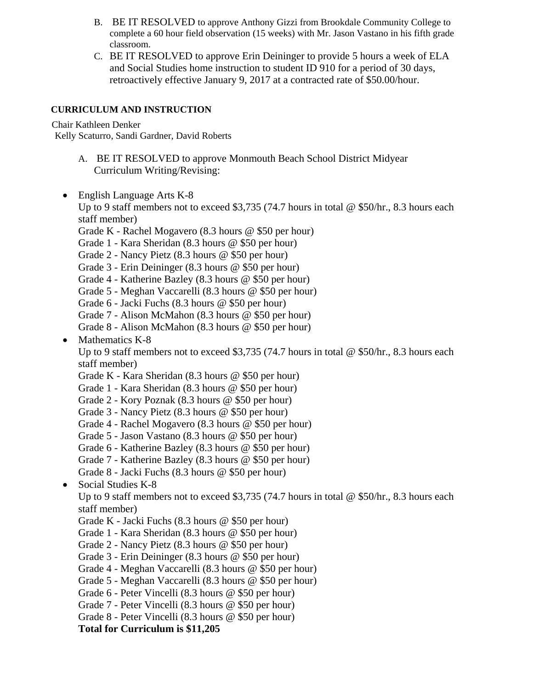- B. BE IT RESOLVED to approve Anthony Gizzi from Brookdale Community College to complete a 60 hour field observation (15 weeks) with Mr. Jason Vastano in his fifth grade classroom.
- C. BE IT RESOLVED to approve Erin Deininger to provide 5 hours a week of ELA and Social Studies home instruction to student ID 910 for a period of 30 days, retroactively effective January 9, 2017 at a contracted rate of \$50.00/hour.

## **CURRICULUM AND INSTRUCTION**

Chair Kathleen Denker

Kelly Scaturro, Sandi Gardner, David Roberts

- A. BE IT RESOLVED to approve Monmouth Beach School District Midyear Curriculum Writing/Revising:
- English Language Arts K-8

Up to 9 staff members not to exceed \$3,735 (74.7 hours in total  $\omega$  \$50/hr., 8.3 hours each staff member)

- Grade K Rachel Mogavero (8.3 hours @ \$50 per hour)
- Grade 1 Kara Sheridan (8.3 hours @ \$50 per hour)
- Grade 2 Nancy Pietz (8.3 hours @ \$50 per hour)
- Grade 3 Erin Deininger (8.3 hours @ \$50 per hour)
- Grade 4 Katherine Bazley (8.3 hours @ \$50 per hour)
- Grade 5 Meghan Vaccarelli (8.3 hours @ \$50 per hour)
- Grade 6 Jacki Fuchs (8.3 hours @ \$50 per hour)
- Grade 7 Alison McMahon (8.3 hours @ \$50 per hour)
- Grade 8 Alison McMahon (8.3 hours @ \$50 per hour)
- Mathematics K-8

Up to 9 staff members not to exceed \$3,735 (74.7 hours in total  $\omega$  \$50/hr., 8.3 hours each staff member)

- Grade K Kara Sheridan (8.3 hours @ \$50 per hour)
- Grade 1 Kara Sheridan (8.3 hours @ \$50 per hour)
- Grade 2 Kory Poznak (8.3 hours @ \$50 per hour)
- Grade 3 Nancy Pietz (8.3 hours @ \$50 per hour)
- Grade 4 Rachel Mogavero (8.3 hours @ \$50 per hour)
- Grade 5 Jason Vastano (8.3 hours @ \$50 per hour)
- Grade 6 Katherine Bazley (8.3 hours @ \$50 per hour)
- Grade 7 Katherine Bazley (8.3 hours @ \$50 per hour)
- Grade 8 Jacki Fuchs (8.3 hours @ \$50 per hour)
- Social Studies K-8

Up to 9 staff members not to exceed \$3,735 (74.7 hours in total  $\omega$  \$50/hr., 8.3 hours each staff member)

- Grade K Jacki Fuchs (8.3 hours @ \$50 per hour)
- Grade 1 Kara Sheridan (8.3 hours @ \$50 per hour)
- Grade 2 Nancy Pietz (8.3 hours @ \$50 per hour)
- Grade 3 Erin Deininger (8.3 hours @ \$50 per hour)
- Grade 4 Meghan Vaccarelli (8.3 hours @ \$50 per hour)
- Grade 5 Meghan Vaccarelli (8.3 hours @ \$50 per hour)
- Grade 6 Peter Vincelli (8.3 hours @ \$50 per hour)
- Grade 7 Peter Vincelli (8.3 hours @ \$50 per hour)
- Grade 8 Peter Vincelli (8.3 hours @ \$50 per hour)

### **Total for Curriculum is \$11,205**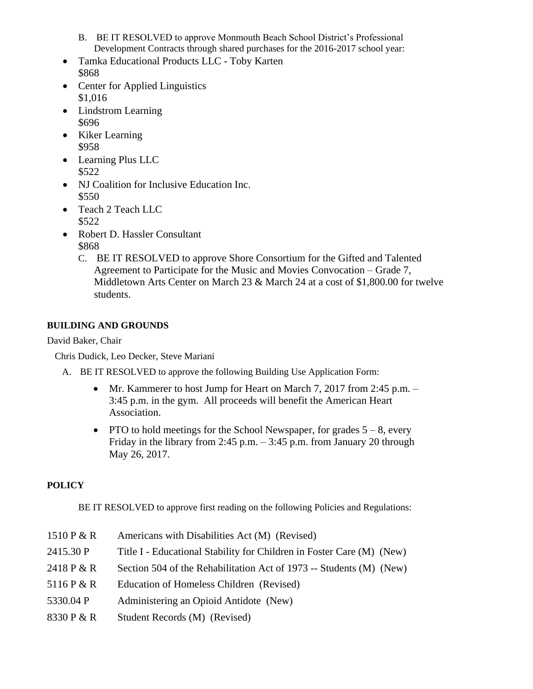- B. BE IT RESOLVED to approve Monmouth Beach School District's Professional Development Contracts through shared purchases for the 2016-2017 school year:
- Tamka Educational Products LLC Toby Karten \$868
- Center for Applied Linguistics \$1,016
- Lindstrom Learning \$696
- Kiker Learning \$958
- Learning Plus LLC \$522
- NJ Coalition for Inclusive Education Inc. \$550
- Teach 2 Teach LLC \$522
- Robert D. Hassler Consultant \$868
	- C. BE IT RESOLVED to approve Shore Consortium for the Gifted and Talented Agreement to Participate for the Music and Movies Convocation – Grade 7, Middletown Arts Center on March 23 & March 24 at a cost of \$1,800.00 for twelve students.

## **BUILDING AND GROUNDS**

## David Baker, Chair

Chris Dudick, Leo Decker, Steve Mariani

- A. BE IT RESOLVED to approve the following Building Use Application Form:
	- Mr. Kammerer to host Jump for Heart on March 7, 2017 from 2:45 p.m. 3:45 p.m. in the gym. All proceeds will benefit the American Heart Association.
	- PTO to hold meetings for the School Newspaper, for grades  $5 8$ , every Friday in the library from 2:45 p.m.  $-$  3:45 p.m. from January 20 through May 26, 2017.

## **POLICY**

BE IT RESOLVED to approve first reading on the following Policies and Regulations:

1510 P  $\& R$  Americans with Disabilities Act (M) (Revised) 2415.30 P Title I - Educational Stability for Children in Foster Care (M) (New) 2418 P & R Section 504 of the Rehabilitation Act of 1973 -- Students (M) (New) 5116 P & R Education of Homeless Children (Revised) 5330.04 P Administering an Opioid Antidote (New) 8330 P & R Student Records (M) (Revised)